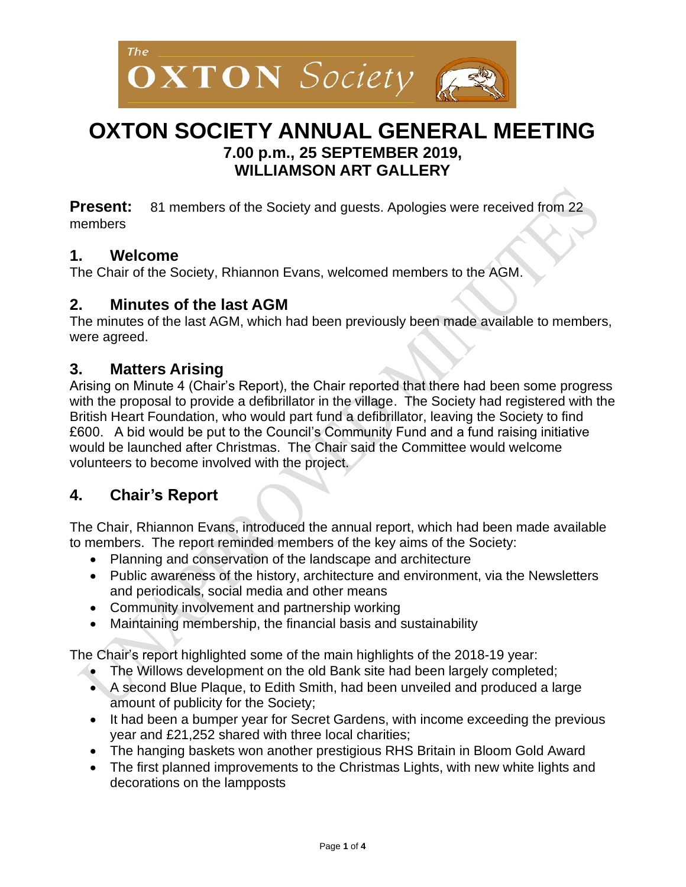

# **OXTON SOCIETY ANNUAL GENERAL MEETING 7.00 p.m., 25 SEPTEMBER 2019, WILLIAMSON ART GALLERY**

**Present:** 81 members of the Society and quests. Apologies were received from 22 members

### **1. Welcome**

The Chair of the Society, Rhiannon Evans, welcomed members to the AGM.

### **2. Minutes of the last AGM**

The minutes of the last AGM, which had been previously been made available to members, were agreed.

#### **3. Matters Arising**

Arising on Minute 4 (Chair's Report), the Chair reported that there had been some progress with the proposal to provide a defibrillator in the village. The Society had registered with the British Heart Foundation, who would part fund a defibrillator, leaving the Society to find £600. A bid would be put to the Council's Community Fund and a fund raising initiative would be launched after Christmas. The Chair said the Committee would welcome volunteers to become involved with the project.

### **4. Chair's Report**

The Chair, Rhiannon Evans, introduced the annual report, which had been made available to members. The report reminded members of the key aims of the Society:

- Planning and conservation of the landscape and architecture
- Public awareness of the history, architecture and environment, via the Newsletters and periodicals, social media and other means
- Community involvement and partnership working
- Maintaining membership, the financial basis and sustainability

The Chair's report highlighted some of the main highlights of the 2018-19 year:

- The Willows development on the old Bank site had been largely completed;
- A second Blue Plaque, to Edith Smith, had been unveiled and produced a large amount of publicity for the Society;
- It had been a bumper year for Secret Gardens, with income exceeding the previous year and £21,252 shared with three local charities;
- The hanging baskets won another prestigious RHS Britain in Bloom Gold Award
- The first planned improvements to the Christmas Lights, with new white lights and decorations on the lampposts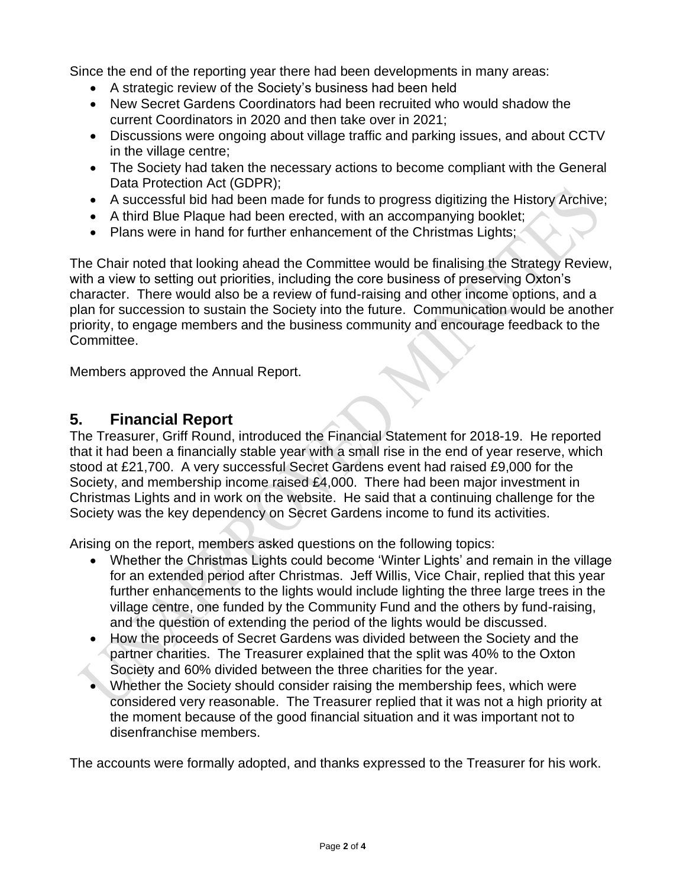Since the end of the reporting year there had been developments in many areas:

- A strategic review of the Society's business had been held
- New Secret Gardens Coordinators had been recruited who would shadow the current Coordinators in 2020 and then take over in 2021;
- Discussions were ongoing about village traffic and parking issues, and about CCTV in the village centre;
- The Society had taken the necessary actions to become compliant with the General Data Protection Act (GDPR);
- A successful bid had been made for funds to progress digitizing the History Archive;
- A third Blue Plaque had been erected, with an accompanying booklet;
- Plans were in hand for further enhancement of the Christmas Lights;

The Chair noted that looking ahead the Committee would be finalising the Strategy Review, with a view to setting out priorities, including the core business of preserving Oxton's character. There would also be a review of fund-raising and other income options, and a plan for succession to sustain the Society into the future. Communication would be another priority, to engage members and the business community and encourage feedback to the Committee.

Members approved the Annual Report.

### **5. Financial Report**

The Treasurer, Griff Round, introduced the Financial Statement for 2018-19. He reported that it had been a financially stable year with a small rise in the end of year reserve, which stood at £21,700. A very successful Secret Gardens event had raised £9,000 for the Society, and membership income raised £4,000. There had been major investment in Christmas Lights and in work on the website. He said that a continuing challenge for the Society was the key dependency on Secret Gardens income to fund its activities.

Arising on the report, members asked questions on the following topics:

- Whether the Christmas Lights could become 'Winter Lights' and remain in the village for an extended period after Christmas. Jeff Willis, Vice Chair, replied that this year further enhancements to the lights would include lighting the three large trees in the village centre, one funded by the Community Fund and the others by fund-raising, and the question of extending the period of the lights would be discussed.
- How the proceeds of Secret Gardens was divided between the Society and the partner charities. The Treasurer explained that the split was 40% to the Oxton Society and 60% divided between the three charities for the year.
- Whether the Society should consider raising the membership fees, which were considered very reasonable. The Treasurer replied that it was not a high priority at the moment because of the good financial situation and it was important not to disenfranchise members.

The accounts were formally adopted, and thanks expressed to the Treasurer for his work.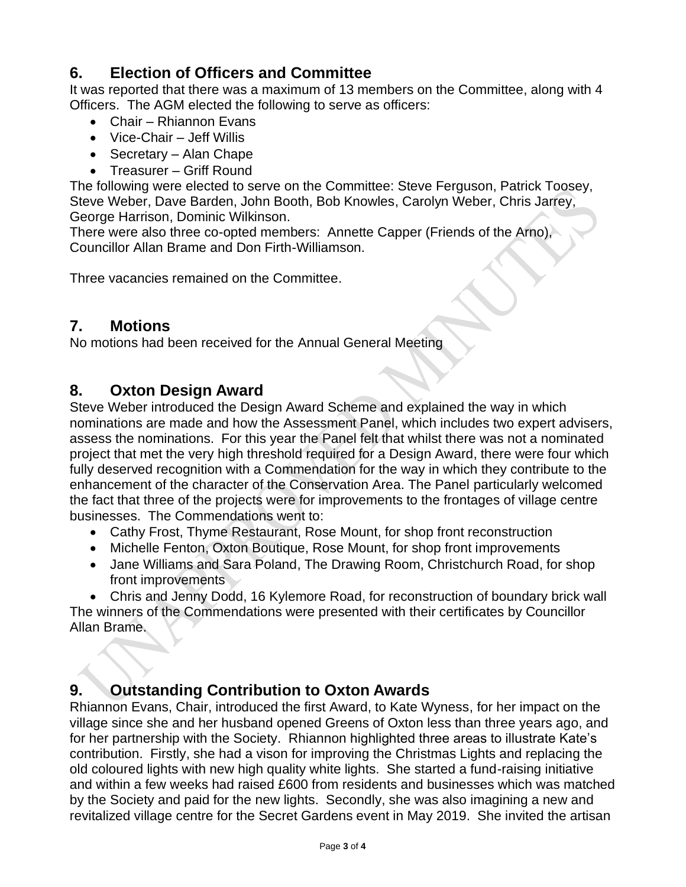### **6. Election of Officers and Committee**

It was reported that there was a maximum of 13 members on the Committee, along with 4 Officers. The AGM elected the following to serve as officers:

- Chair Rhiannon Evans
- Vice-Chair Jeff Willis
- Secretary Alan Chape
- Treasurer Griff Round

The following were elected to serve on the Committee: Steve Ferguson, Patrick Toosey, Steve Weber, Dave Barden, John Booth, Bob Knowles, Carolyn Weber, Chris Jarrey, George Harrison, Dominic Wilkinson.

There were also three co-opted members: Annette Capper (Friends of the Arno), Councillor Allan Brame and Don Firth-Williamson.

Three vacancies remained on the Committee.

### **7. Motions**

No motions had been received for the Annual General Meeting

### **8. Oxton Design Award**

Steve Weber introduced the Design Award Scheme and explained the way in which nominations are made and how the Assessment Panel, which includes two expert advisers, assess the nominations. For this year the Panel felt that whilst there was not a nominated project that met the very high threshold required for a Design Award, there were four which fully deserved recognition with a Commendation for the way in which they contribute to the enhancement of the character of the Conservation Area. The Panel particularly welcomed the fact that three of the projects were for improvements to the frontages of village centre businesses. The Commendations went to:

- Cathy Frost, Thyme Restaurant, Rose Mount, for shop front reconstruction
- Michelle Fenton, Oxton Boutique, Rose Mount, for shop front improvements
- Jane Williams and Sara Poland, The Drawing Room, Christchurch Road, for shop front improvements

• Chris and Jenny Dodd, 16 Kylemore Road, for reconstruction of boundary brick wall The winners of the Commendations were presented with their certificates by Councillor Allan Brame.

## **9. Outstanding Contribution to Oxton Awards**

Rhiannon Evans, Chair, introduced the first Award, to Kate Wyness, for her impact on the village since she and her husband opened Greens of Oxton less than three years ago, and for her partnership with the Society. Rhiannon highlighted three areas to illustrate Kate's contribution. Firstly, she had a vison for improving the Christmas Lights and replacing the old coloured lights with new high quality white lights. She started a fund-raising initiative and within a few weeks had raised £600 from residents and businesses which was matched by the Society and paid for the new lights. Secondly, she was also imagining a new and revitalized village centre for the Secret Gardens event in May 2019. She invited the artisan